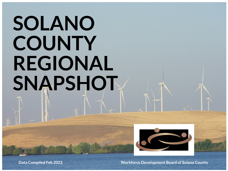# **SOLANO COUNTY REGIONAL SNAPSHOT**



**Data Compiled Feb 2022 Workforce Development Board of Solano County**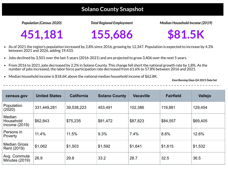#### *Population (Census 2020)*

# **\$81.5K**

- As of 2021 the region's population increased by 2.8% since 2016, growing by 12,347. Population is expected to increase by 4.3% between 2021 and 2026, adding 19,433.
- Jobs declined by 3,501 over the last 5 years (2016-2021) and are projected to grow 3,406 over the next 5 years.  $\bullet$
- From 2016 to 2021, jobs decreased by 2.2% in Solano County. This change fell short the national growth rate by 1.8%. As the  $\bullet$ number of jobs increased, the labor force participation rate decreased from 61.6% to 57.8% between 2016 and 2021.
- Median household income is \$18.6K above the national median household income of \$62.8K.  $\bullet$

#### *Median Household Income (2019)*



# **Solano County Snapshot**

#### **451,181 155,686**

*Total Regional Employment*

*Emsi Burning Glass Q4 2021 Data Set*

| census.gov                             | <b>United States</b> | <b>California</b> | <b>Solano County</b> | <b>Vacaville</b> | <b>Fairfield</b> | Vallejo  |
|----------------------------------------|----------------------|-------------------|----------------------|------------------|------------------|----------|
| Population<br>(2020)                   | 331,449,281          | 39,538,223        | 453,491              | 102,386          | 119,881          | 129,454  |
| Median<br>Household<br>Income $(2019)$ | \$62,843             | \$75,235          | \$81,472             | \$87,823         | \$84,557         | \$69,405 |
| Persons in<br><b>Poverty</b>           | 11.4%                | 11.5%             | 9.3%                 | 7.4%             | 8.6%             | 12.6%    |
| <b>Median Gross</b><br>Rent (2019)     | \$1,062              | \$1,503           | \$1,592              | \$1,641          | \$1,615          | \$1,532  |
| Avg. Commute<br>Minutes (2019)         | 26.9                 | 29.8              | 33.2                 | 28.7             | 32.5             | 36.5     |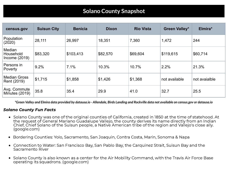| census.gov                           | <b>Suisun City</b> | <b>Benicia</b> | <b>Dixon</b> | <b>Rio Vista</b> | <b>Green Valley*</b> | Elmira*       |
|--------------------------------------|--------------------|----------------|--------------|------------------|----------------------|---------------|
| Population<br>(2020)                 | 28,111             | 26,997         | 18,351       | 7,360            | 1,472                | 244           |
| Median<br>Household<br>Income (2019) | \$83,320           | \$103,413      | \$82,570     | \$69,604         | \$119,615            | \$60,714      |
| Persons in<br><b>Poverty</b>         | 9.2%               | 7.1%           | 10.3%        | 10.7%            | 2.2%                 | 21.3%         |
| <b>Median Gross</b><br>Rent (2019)   | \$1,715            | \$1,858        | \$1,426      | \$1,368          | not available        | not avaialble |
| Avg. Commute<br>Minutes (2019)       | 35.8               | 35.4           | 29.9         | 41.0             | 32.7                 | 25.5          |

\*Green Valley and Elmira data provided by datausa.io - Allendale, Birds Landing and Rockville data not available on census.gov or datausa.io

# **Solano County Snapshot**

#### Solano County Fun Facts

the request of General Mariano Guadalupe Vallejo, the county derives its name directly from an Indian

- Solano County was one of the original counties of California, created in 1850 at the time of statehood. At Chief, Chief Solano of the Suisun people, a Native American tribe of the region and Vallejo's close ally. (google.com)
- Bordering Counties: Yolo, Sacramento, San Joaquin, Contra Costa, Marin, Sonoma & Napa
- Connection to Water: San Francisco Bay, San Pablo Bay, the Carquinez Strait, Suisun Bay and the Sacramento River
- Solano County is also known as a center for the Air Mobility Command, with the Travis Air Force Base operating its squadrons. (google.com)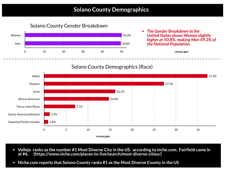#### Solano County Demographics (Race)

|             |   |      |          |    |    |       |    | 37.2% |
|-------------|---|------|----------|----|----|-------|----|-------|
|             |   |      |          |    |    |       |    |       |
|             |   |      |          |    |    | 27.3% |    |       |
|             |   |      |          |    |    |       |    |       |
|             |   |      | 16.2%    |    |    |       |    |       |
|             |   |      |          |    |    |       |    |       |
|             |   |      | $14.8\%$ |    |    |       |    |       |
|             |   |      |          |    |    |       |    |       |
|             |   | 7.1% |          |    |    |       |    |       |
|             |   |      |          |    |    |       |    |       |
| 1.3%        |   |      |          |    |    |       |    |       |
|             |   |      |          |    |    |       |    |       |
| 1.0%        |   |      |          |    |    |       |    |       |
|             |   |      |          |    |    |       |    |       |
| $\mathsf O$ | 5 | 10   | 15       | 20 | 25 | 30    | 35 |       |
|             |   |      |          |    |    |       |    |       |

### Solano County Gender Breakdown

### **Solano County Demographics**



- Vallejo ranks as the number #1 Most Diverse City in the US. according to niche.com. Fairfield came in **at #6. (https://www.niche.com/places-to-live/search/most-diverse-cities/)**
- **Niche.com reports that Solano County ranks #1 as the Most Diverse County in the US**  $\bullet$

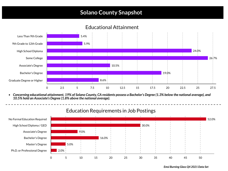# **Solano County Snapshot**

#### Educational Attainment



• Concerning educational attainment, 19% of Solano County, CA residents possess a Bachelor's Degree (1.3% below the national average), and *10.5% hold an Associate's Degree (1.8% above the national average).*

*Emsi Burning Glass Q4 2021 Data Set*

#### Education Requirements in Job Postings



|              |      |         |    |       |    |       |    |    |    |    | 52.0% |
|--------------|------|---------|----|-------|----|-------|----|----|----|----|-------|
|              |      |         |    |       |    | 30.0% |    |    |    |    |       |
|              |      | $9:0\%$ |    |       |    |       |    |    |    |    |       |
|              |      |         |    | 16.0% |    |       |    |    |    |    |       |
|              | 5.0% |         |    |       |    |       |    |    |    |    |       |
| 2.0%         |      |         |    |       |    |       |    |    |    |    |       |
| $\mathsf{O}$ | 5    | 10      | 15 | 20    | 25 | 30    | 35 | 40 | 45 | 50 |       |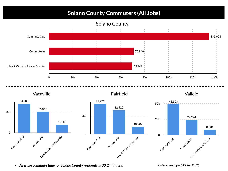### Solano County



*Average commute time for Solano County residentsis 33.2 minutes.*

*lehd.ces.census.gov (all jobs- 2019)*

# **Solano County Commuters (All Jobs)**



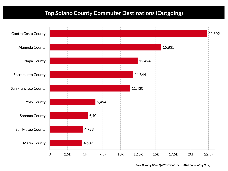### **Top Solano County Commuter Destinations (Outgoing)**

#### *Emsi Burning Glass Q4 2021 Data Set (2020 Commuting Year)*

| <b>Contra Costa County</b> |           |      |            |  |
|----------------------------|-----------|------|------------|--|
| <b>Alameda County</b>      |           |      |            |  |
| <b>Napa County</b>         |           |      |            |  |
|                            |           |      |            |  |
| <b>Sacramento County</b>   |           |      |            |  |
| San Francisco County       |           |      |            |  |
| <b>Yolo County</b>         |           |      | 6,494      |  |
| <b>Sonoma County</b>       |           |      | 5,404      |  |
| <b>San Mateo County</b>    |           |      | 4,723      |  |
| <b>Marin County</b>        |           |      | 4,607      |  |
|                            | $\bigcap$ | 2.5k | 5k<br>7.5k |  |

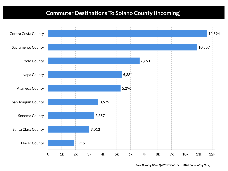# **Commuter Destinations To Solano County (Incoming)**



*Emsi Burning Glass Q4 2021 Data Set (2020 Commuting Year)*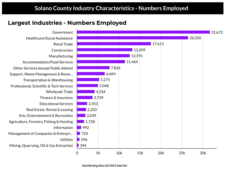

Government Healthcare/Social Assistance Retail Trade Construction Manufacturing Accommodation/Food Services Other Services (except Public Admin) Support, Waste Management & Reme… Transportation & Warehousing Professional, Scientific & Tech Services Wholesale Trade Finance & Insurance Educational Services Real Estate, Rental & Leasing Arts, Entertainment & Recreation Agriculture, Forestry, Fishing & Hunting Information Management of Companies & Enterpri… **Utilities** Mining, Quarrying, Oil & Gas Extraction

## **Solano County Industry Characteristics - Numbers Employed**

### Largest Industries - Numbers Employed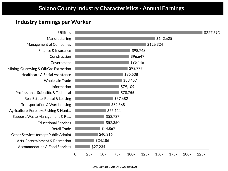**Utilities** Manufacturing Management of Companies Finance & Insurance Construction Government Mining, Quarrying & Oil/Gas Extraction Healthcare & Social Assistance Wholesale Trade Information Professional, Scientific & Technical Real Estate, Rental & Leasing Transportation & Warehousing Agriculture, Forestry, Fishing & Hunt… Support, Waste Management & Re… Educational Services Retail Trade Other Services (except Public Admin) Arts, Entertainment & Recreation Accommodation & Food Services



### **Industry Earnings per Worker**

# **Solano County Industry Characteristics - Annual Earnings**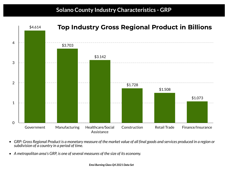

- $\bullet$ *subdivision of a country in a period of time.*
- *A metropolitan area's GRP, is one ofseveral measures of the size of its economy.*  $\bullet$

GRP: Gross Regional Product is a monetary measure of the market value of all final goods and services produced in a region or

*Emsi Burning Glass Q4 2021 Data Set*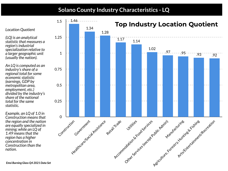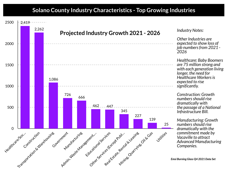### **Solano County Industry Characteristics - Top Growing Industries**



| owth 2021 - 2026 <sup>.</sup>                                                                         | <b>Industry Notes:</b>                                                                                                                                                                    |
|-------------------------------------------------------------------------------------------------------|-------------------------------------------------------------------------------------------------------------------------------------------------------------------------------------------|
|                                                                                                       | Other Industries are<br>expected to show loss of<br>job numbers from 2021 -<br>2026                                                                                                       |
|                                                                                                       | <b>Healthcare: Baby Boomers</b><br>are 75 million strong and<br>with each generation living<br>longer, the need for<br><b>Healthcare Workers is</b><br>expected to rise<br>significantly. |
| 345<br>227                                                                                            | <b>Construction: Growth</b><br>numbers should rise<br>dramatically with<br>the passage of a National<br>Infrastructure Bill.                                                              |
| 139<br>25<br>easine<br><b>.11259</b><br><b>G</b> Cras<br><b>Algebra</b> Blg<br>Minizes Quartyines Oil | <b>Manufacturing: Growth</b><br>numbers should rise<br>dramatically with the<br>commitment made by<br><b>Vacaville to attract</b><br><b>Advanced Manufacturing</b><br>Companies.          |
|                                                                                                       | <b>Emsi Burning Glass Q4 2021 Data Set</b>                                                                                                                                                |